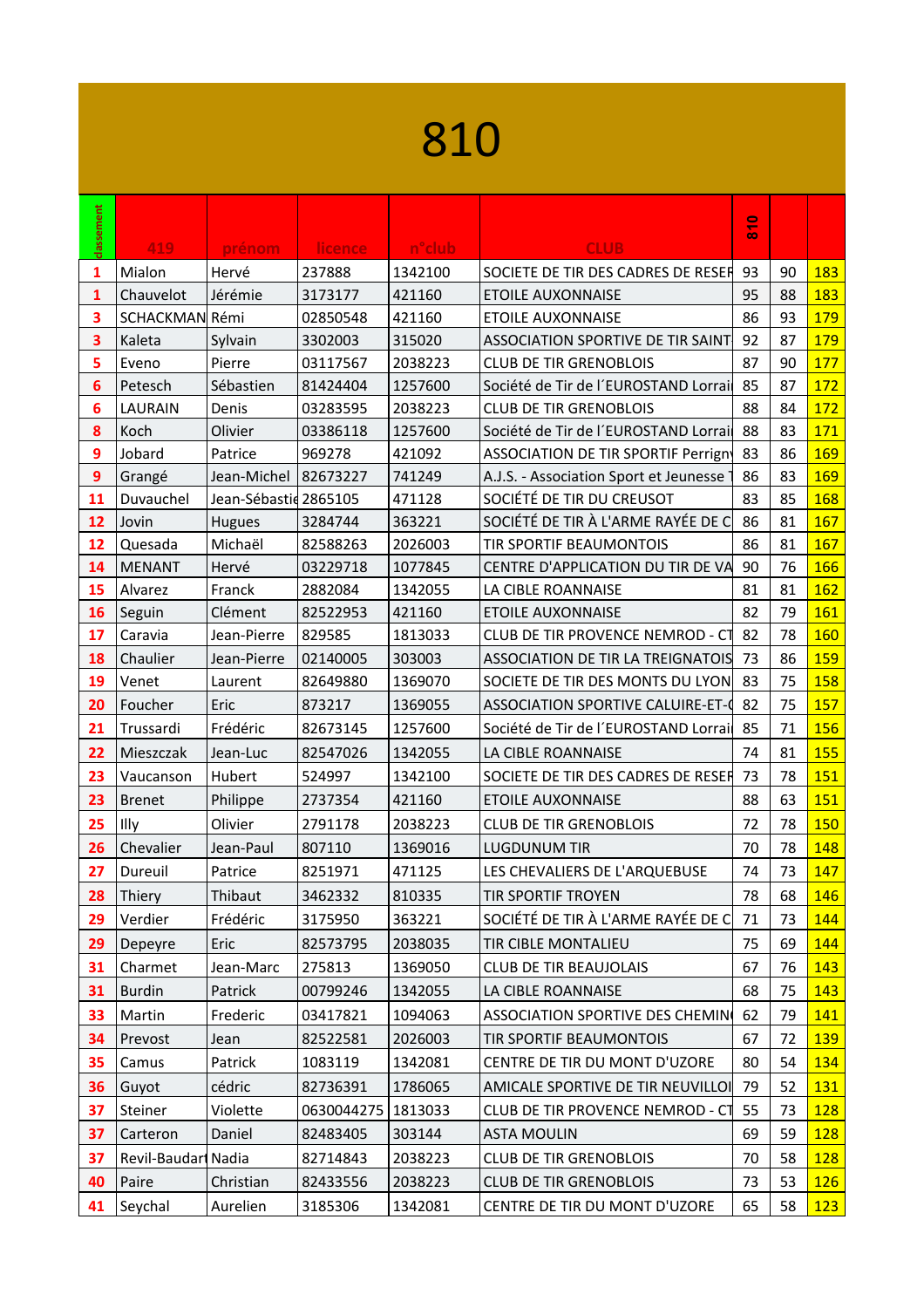## 

| classement       | 419                 | prénom                | licence              | n <sup>o</sup> club | <b>CLUB</b>                              | $\frac{0}{8}$ |    |            |
|------------------|---------------------|-----------------------|----------------------|---------------------|------------------------------------------|---------------|----|------------|
| 1                | Mialon              | Hervé                 | 237888               | 1342100             | SOCIETE DE TIR DES CADRES DE RESER       | 93            | 90 | 183        |
| 1                | Chauvelot           | Jérémie               | 3173177              | 421160              | <b>ETOILE AUXONNAISE</b>                 | 95            | 88 | 183        |
| 3                | SCHACKMAN Rémi      |                       | 02850548             | 421160              | <b>ETOILE AUXONNAISE</b>                 | 86            | 93 | 179        |
| 3                | Kaleta              | Sylvain               | 3302003              | 315020              | <b>ASSOCIATION SPORTIVE DE TIR SAINT</b> | 92            | 87 | 179        |
| 5                | Eveno               | Pierre                | 03117567             | 2038223             | <b>CLUB DE TIR GRENOBLOIS</b>            | 87            | 90 | 177        |
| 6                | Petesch             | Sébastien             | 81424404             | 1257600             | Société de Tir de l'EUROSTAND Lorrai     | 85            | 87 | 172        |
| 6                | <b>LAURAIN</b>      | Denis                 | 03283595             | 2038223             | <b>CLUB DE TIR GRENOBLOIS</b>            | 88            | 84 | 172        |
| 8                | Koch                | Olivier               | 03386118             | 1257600             | Société de Tir de l'EUROSTAND Lorrai     | 88            | 83 | 171        |
| 9                | Jobard              | Patrice               | 969278               | 421092              | ASSOCIATION DE TIR SPORTIF Perrign       | 83            | 86 | 169        |
| $\boldsymbol{9}$ | Grangé              | Jean-Michel 82673227  |                      | 741249              | A.J.S. - Association Sport et Jeunesse   | 86            | 83 | 169        |
| 11               | Duvauchel           | Jean-Sébastid 2865105 |                      | 471128              | SOCIÉTÉ DE TIR DU CREUSOT                | 83            | 85 | 168        |
| 12               | Jovin               | Hugues                | 3284744              | 363221              | SOCIÉTÉ DE TIR À L'ARME RAYÉE DE C       | 86            | 81 | 167        |
| 12               | Quesada             | Michaël               | 82588263             | 2026003             | <b>TIR SPORTIF BEAUMONTOIS</b>           | 86            | 81 | 167        |
| 14               | MENANT              | Hervé                 | 03229718             | 1077845             | CENTRE D'APPLICATION DU TIR DE VA        | 90            | 76 | 166        |
| 15               | Alvarez             | Franck                | 2882084              | 1342055             | LA CIBLE ROANNAISE                       | 81            | 81 | 162        |
| 16               | Seguin              | Clément               | 82522953             | 421160              | <b>ETOILE AUXONNAISE</b>                 | 82            | 79 | 161        |
| 17               | Caravia             | Jean-Pierre           | 829585               | 1813033             | CLUB DE TIR PROVENCE NEMROD - CT         | 82            | 78 | 160        |
| 18               | Chaulier            | Jean-Pierre           | 02140005             | 303003              | ASSOCIATION DE TIR LA TREIGNATOIS 73     |               | 86 | 159        |
| 19               | Venet               | Laurent               | 82649880             | 1369070             | SOCIETE DE TIR DES MONTS DU LYON         | 83            | 75 | 158        |
| 20               | Foucher             | Eric                  | 873217               | 1369055             | ASSOCIATION SPORTIVE CALUIRE-ET-0        | 82            | 75 | 157        |
| 21               | Trussardi           | Frédéric              | 82673145             | 1257600             | Société de Tir de l'EUROSTAND Lorrai     | 85            | 71 | 156        |
| 22               | Mieszczak           | Jean-Luc              | 82547026             | 1342055             | LA CIBLE ROANNAISE                       | 74            | 81 | <b>155</b> |
| 23               | Vaucanson           | Hubert                | 524997               | 1342100             | SOCIETE DE TIR DES CADRES DE RESER       | 73            | 78 | 151        |
| 23               | <b>Brenet</b>       | Philippe              | 2737354              | 421160              | <b>ETOILE AUXONNAISE</b>                 | 88            | 63 | <b>151</b> |
| 25               | Illy                | Olivier               | 2791178              | 2038223             | <b>CLUB DE TIR GRENOBLOIS</b>            | 72            | 78 | 150        |
| 26               | Chevalier           | Jean-Paul             | 807110               | 1369016             | <b>LUGDUNUM TIR</b>                      | 70            | 78 | 148        |
| 27               | Dureuil             | Patrice               | 8251971              | 471125              | LES CHEVALIERS DE L'ARQUEBUSE            | 74            | 73 | 147        |
| 28               | Thiery              | Thibaut               | 3462332              | 810335              | TIR SPORTIF TROYEN                       | 78            | 68 | 146        |
| 29               | Verdier             | Frédéric              | 3175950              | 363221              | SOCIÉTÉ DE TIR À L'ARME RAYÉE DE C       | 71            | 73 | 144        |
| 29               | Depeyre             | Eric                  | 82573795             | 2038035             | <b>TIR CIBLE MONTALIEU</b>               | 75            | 69 | 144        |
| 31               | Charmet             | Jean-Marc             | 275813               | 1369050             | <b>CLUB DE TIR BEAUJOLAIS</b>            | 67            | 76 | <u>143</u> |
| 31               | <b>Burdin</b>       | Patrick               | 00799246             | 1342055             | LA CIBLE ROANNAISE                       | 68            | 75 | 143        |
| 33               | Martin              | Frederic              | 03417821             | 1094063             | <b>ASSOCIATION SPORTIVE DES CHEMING</b>  | 62            | 79 | 141        |
| 34               | Prevost             | Jean                  | 82522581             | 2026003             | <b>TIR SPORTIF BEAUMONTOIS</b>           | 67            | 72 | 139        |
| 35               | Camus               | Patrick               | 1083119              | 1342081             | CENTRE DE TIR DU MONT D'UZORE            | 80            | 54 | 134        |
| 36               | Guyot               | cédric                | 82736391             | 1786065             | AMICALE SPORTIVE DE TIR NEUVILLOI 79     |               | 52 | 131        |
|                  | Steiner             | Violette              |                      |                     | CLUB DE TIR PROVENCE NEMROD - C1 55      |               | 73 | 128        |
| 37               |                     |                       | 0630044275   1813033 |                     |                                          |               |    |            |
| 37               | Carteron            | Daniel                | 82483405             | 303144              | <b>ASTA MOULIN</b>                       | 69            | 59 | <b>128</b> |
| 37               | Revil-Baudari Nadia |                       | 82714843             | 2038223             | <b>CLUB DE TIR GRENOBLOIS</b>            | 70            | 58 | 128        |
| 40               | Paire               | Christian             | 82433556             | 2038223             | <b>CLUB DE TIR GRENOBLOIS</b>            | 73            | 53 | <b>126</b> |
| 41               | Seychal             | Aurelien              | 3185306              | 1342081             | CENTRE DE TIR DU MONT D'UZORE            | 65            | 58 | 123        |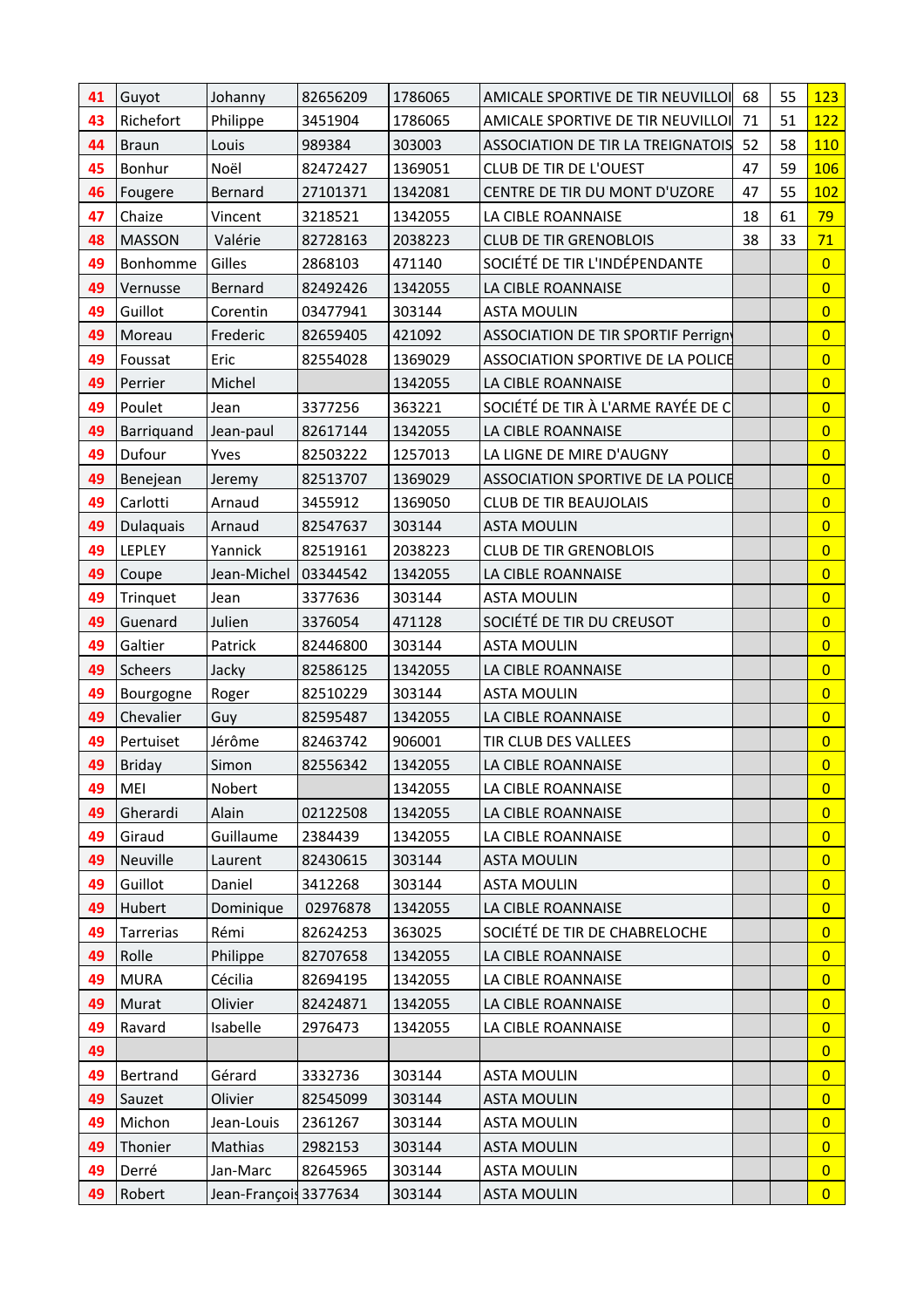| 41 | Guyot            | Johanny               | 82656209 | 1786065 | AMICALE SPORTIVE DE TIR NEUVILLOI        | 68 | 55 | 123            |
|----|------------------|-----------------------|----------|---------|------------------------------------------|----|----|----------------|
| 43 | Richefort        | Philippe              | 3451904  | 1786065 | AMICALE SPORTIVE DE TIR NEUVILLOI        | 71 | 51 | 122            |
| 44 | <b>Braun</b>     | Louis                 | 989384   | 303003  | <b>ASSOCIATION DE TIR LA TREIGNATOIS</b> | 52 | 58 | 110            |
| 45 | Bonhur           | Noël                  | 82472427 | 1369051 | <b>CLUB DE TIR DE L'OUEST</b>            | 47 | 59 | <b>106</b>     |
| 46 | Fougere          | Bernard               | 27101371 | 1342081 | CENTRE DE TIR DU MONT D'UZORE            | 47 | 55 | 102            |
| 47 | Chaize           | Vincent               | 3218521  | 1342055 | LA CIBLE ROANNAISE                       | 18 | 61 | 79             |
| 48 | <b>MASSON</b>    | Valérie               | 82728163 | 2038223 | <b>CLUB DE TIR GRENOBLOIS</b>            | 38 | 33 | 71             |
| 49 | Bonhomme         | Gilles                | 2868103  | 471140  | SOCIÉTÉ DE TIR L'INDÉPENDANTE            |    |    | $\overline{0}$ |
| 49 | Vernusse         | Bernard               | 82492426 | 1342055 | LA CIBLE ROANNAISE                       |    |    | $\overline{0}$ |
| 49 | Guillot          | Corentin              | 03477941 | 303144  | <b>ASTA MOULIN</b>                       |    |    | $\overline{0}$ |
| 49 | Moreau           | Frederic              | 82659405 | 421092  | ASSOCIATION DE TIR SPORTIF Perrign       |    |    | $\overline{0}$ |
| 49 | Foussat          | Eric                  | 82554028 | 1369029 | ASSOCIATION SPORTIVE DE LA POLICE        |    |    | $\overline{0}$ |
| 49 | Perrier          | Michel                |          | 1342055 | LA CIBLE ROANNAISE                       |    |    | $\overline{0}$ |
| 49 | Poulet           | Jean                  | 3377256  | 363221  | SOCIÉTÉ DE TIR À L'ARME RAYÉE DE C       |    |    | $\overline{0}$ |
| 49 | Barriquand       | Jean-paul             | 82617144 | 1342055 | LA CIBLE ROANNAISE                       |    |    | $\overline{0}$ |
| 49 | Dufour           | Yves                  | 82503222 | 1257013 | LA LIGNE DE MIRE D'AUGNY                 |    |    | $\overline{0}$ |
| 49 | Benejean         | Jeremy                | 82513707 | 1369029 | ASSOCIATION SPORTIVE DE LA POLICE        |    |    | $\overline{0}$ |
| 49 | Carlotti         | Arnaud                | 3455912  | 1369050 | <b>CLUB DE TIR BEAUJOLAIS</b>            |    |    | $\overline{0}$ |
| 49 | <b>Dulaquais</b> | Arnaud                | 82547637 | 303144  | <b>ASTA MOULIN</b>                       |    |    | $\overline{0}$ |
| 49 | LEPLEY           | Yannick               | 82519161 | 2038223 | <b>CLUB DE TIR GRENOBLOIS</b>            |    |    | $\overline{0}$ |
| 49 | Coupe            | Jean-Michel           | 03344542 | 1342055 | LA CIBLE ROANNAISE                       |    |    | $\overline{0}$ |
| 49 | Trinquet         | Jean                  | 3377636  | 303144  | <b>ASTA MOULIN</b>                       |    |    | $\overline{0}$ |
| 49 | Guenard          | Julien                | 3376054  | 471128  | SOCIÉTÉ DE TIR DU CREUSOT                |    |    | $\overline{0}$ |
| 49 | Galtier          | Patrick               | 82446800 | 303144  | <b>ASTA MOULIN</b>                       |    |    | $\overline{0}$ |
| 49 | Scheers          | Jacky                 | 82586125 | 1342055 | LA CIBLE ROANNAISE                       |    |    | $\overline{0}$ |
| 49 | Bourgogne        | Roger                 | 82510229 | 303144  | <b>ASTA MOULIN</b>                       |    |    | $\overline{0}$ |
| 49 | Chevalier        | Guy                   | 82595487 | 1342055 | LA CIBLE ROANNAISE                       |    |    | $\overline{0}$ |
| 49 | Pertuiset        | Jérôme                | 82463742 | 906001  | TIR CLUB DES VALLEES                     |    |    | $\overline{0}$ |
| 49 | <b>Briday</b>    | Simon                 | 82556342 | 1342055 | LA CIBLE ROANNAISE                       |    |    | $\overline{0}$ |
| 49 | MEI              | Nobert                |          | 1342055 | LA CIBLE ROANNAISE                       |    |    | $\overline{0}$ |
| 49 | Gherardi         | Alain                 | 02122508 | 1342055 | LA CIBLE ROANNAISE                       |    |    | $\overline{0}$ |
| 49 | Giraud           | Guillaume             | 2384439  | 1342055 | LA CIBLE ROANNAISE                       |    |    | $\overline{0}$ |
| 49 | Neuville         | Laurent               | 82430615 | 303144  | <b>ASTA MOULIN</b>                       |    |    | $\overline{0}$ |
| 49 | Guillot          | Daniel                | 3412268  | 303144  | <b>ASTA MOULIN</b>                       |    |    | $\overline{0}$ |
| 49 | Hubert           | Dominique             | 02976878 | 1342055 | LA CIBLE ROANNAISE                       |    |    | $\overline{0}$ |
| 49 | Tarrerias        | Rémi                  | 82624253 | 363025  | SOCIÉTÉ DE TIR DE CHABRELOCHE            |    |    | $\overline{0}$ |
| 49 | Rolle            | Philippe              | 82707658 | 1342055 | LA CIBLE ROANNAISE                       |    |    | $\overline{0}$ |
| 49 | <b>MURA</b>      | Cécilia               | 82694195 | 1342055 | LA CIBLE ROANNAISE                       |    |    | $\overline{0}$ |
| 49 | Murat            | Olivier               | 82424871 | 1342055 | LA CIBLE ROANNAISE                       |    |    | $\overline{0}$ |
| 49 | Ravard           | Isabelle              | 2976473  | 1342055 | LA CIBLE ROANNAISE                       |    |    | $\overline{0}$ |
| 49 |                  |                       |          |         |                                          |    |    | $\overline{0}$ |
| 49 | Bertrand         | Gérard                | 3332736  | 303144  | <b>ASTA MOULIN</b>                       |    |    | $\overline{0}$ |
| 49 | Sauzet           | Olivier               | 82545099 | 303144  | <b>ASTA MOULIN</b>                       |    |    | $\overline{0}$ |
| 49 | Michon           | Jean-Louis            | 2361267  | 303144  | <b>ASTA MOULIN</b>                       |    |    | $\overline{0}$ |
| 49 | Thonier          | Mathias               | 2982153  | 303144  | <b>ASTA MOULIN</b>                       |    |    | $\overline{0}$ |
| 49 | Derré            | Jan-Marc              | 82645965 | 303144  | <b>ASTA MOULIN</b>                       |    |    | $\overline{0}$ |
| 49 | Robert           | Jean-François 3377634 |          | 303144  | <b>ASTA MOULIN</b>                       |    |    | $\overline{0}$ |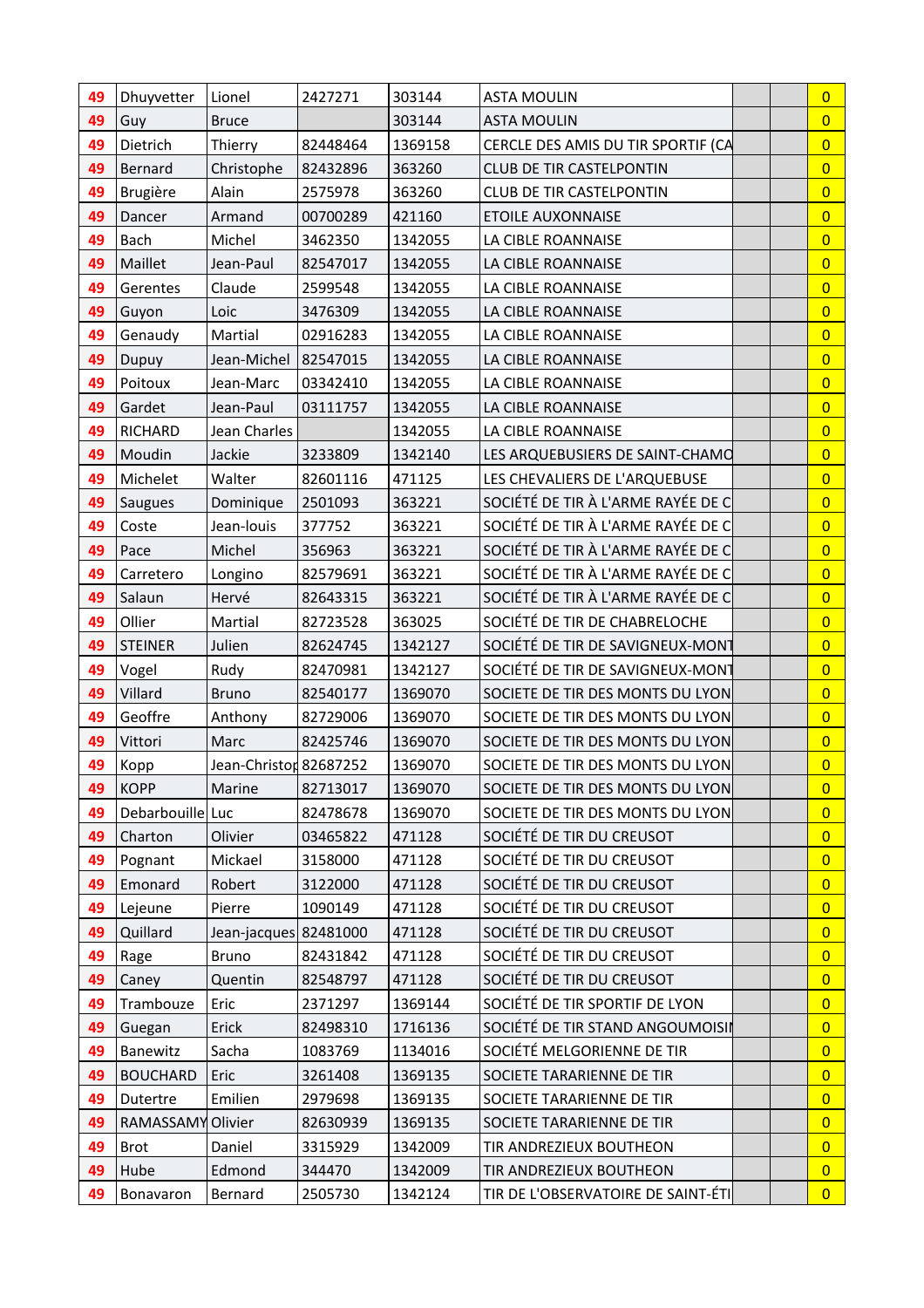| 49 | Dhuyvetter       | Lionel                 | 2427271  | 303144  | <b>ASTA MOULIN</b>                 | $\overline{0}$ |
|----|------------------|------------------------|----------|---------|------------------------------------|----------------|
| 49 | Guy              | <b>Bruce</b>           |          | 303144  | <b>ASTA MOULIN</b>                 | $\overline{0}$ |
| 49 | Dietrich         | Thierry                | 82448464 | 1369158 | CERCLE DES AMIS DU TIR SPORTIF (CA | $\overline{0}$ |
| 49 | Bernard          | Christophe             | 82432896 | 363260  | <b>CLUB DE TIR CASTELPONTIN</b>    | $\overline{0}$ |
| 49 | Brugière         | Alain                  | 2575978  | 363260  | <b>CLUB DE TIR CASTELPONTIN</b>    | $\overline{0}$ |
| 49 | Dancer           | Armand                 | 00700289 | 421160  | <b>ETOILE AUXONNAISE</b>           | $\overline{0}$ |
| 49 | Bach             | Michel                 | 3462350  | 1342055 | LA CIBLE ROANNAISE                 | $\overline{0}$ |
| 49 | Maillet          | Jean-Paul              | 82547017 | 1342055 | LA CIBLE ROANNAISE                 | $\overline{0}$ |
| 49 | Gerentes         | Claude                 | 2599548  | 1342055 | LA CIBLE ROANNAISE                 | $\overline{0}$ |
| 49 | Guyon            | Loic                   | 3476309  | 1342055 | LA CIBLE ROANNAISE                 | $\overline{0}$ |
| 49 | Genaudy          | Martial                | 02916283 | 1342055 | LA CIBLE ROANNAISE                 | $\overline{0}$ |
| 49 | Dupuy            | Jean-Michel            | 82547015 | 1342055 | LA CIBLE ROANNAISE                 | $\overline{0}$ |
| 49 | Poitoux          | Jean-Marc              | 03342410 | 1342055 | LA CIBLE ROANNAISE                 | $\overline{0}$ |
| 49 | Gardet           | Jean-Paul              | 03111757 | 1342055 | LA CIBLE ROANNAISE                 | $\overline{0}$ |
| 49 | <b>RICHARD</b>   | Jean Charles           |          | 1342055 | LA CIBLE ROANNAISE                 | $\overline{0}$ |
| 49 | Moudin           | Jackie                 | 3233809  | 1342140 | LES ARQUEBUSIERS DE SAINT-CHAMO    | $\overline{0}$ |
| 49 | Michelet         | Walter                 | 82601116 | 471125  | LES CHEVALIERS DE L'ARQUEBUSE      | $\overline{0}$ |
| 49 | <b>Saugues</b>   | Dominique              | 2501093  | 363221  | SOCIÉTÉ DE TIR À L'ARME RAYÉE DE C | $\overline{0}$ |
| 49 | Coste            | Jean-louis             | 377752   | 363221  | SOCIÉTÉ DE TIR À L'ARME RAYÉE DE C | $\overline{0}$ |
| 49 | Pace             | Michel                 | 356963   | 363221  | SOCIÉTÉ DE TIR À L'ARME RAYÉE DE C | $\overline{0}$ |
| 49 | Carretero        | Longino                | 82579691 | 363221  | SOCIÉTÉ DE TIR À L'ARME RAYÉE DE C | $\overline{0}$ |
| 49 | Salaun           | Hervé                  | 82643315 | 363221  | SOCIÉTÉ DE TIR À L'ARME RAYÉE DE C | $\overline{0}$ |
| 49 | Ollier           | Martial                | 82723528 | 363025  | SOCIÉTÉ DE TIR DE CHABRELOCHE      | $\overline{0}$ |
| 49 | <b>STEINER</b>   | Julien                 | 82624745 | 1342127 | SOCIÉTÉ DE TIR DE SAVIGNEUX-MONT   | $\overline{0}$ |
| 49 | Vogel            | Rudy                   | 82470981 | 1342127 | SOCIÉTÉ DE TIR DE SAVIGNEUX-MONT   | $\overline{0}$ |
| 49 | Villard          | <b>Bruno</b>           | 82540177 | 1369070 | SOCIETE DE TIR DES MONTS DU LYON   | $\overline{0}$ |
| 49 | Geoffre          | Anthony                | 82729006 | 1369070 | SOCIETE DE TIR DES MONTS DU LYON   | $\overline{0}$ |
| 49 | Vittori          | Marc                   | 82425746 | 1369070 | SOCIETE DE TIR DES MONTS DU LYON   | $\overline{0}$ |
| 49 | Kopp             | Jean-Christon 82687252 |          | 1369070 | SOCIETE DE TIR DES MONTS DU LYON   | $\overline{0}$ |
| 49 | KOPP             | Marine                 | 82713017 | 1369070 | SOCIETE DE TIR DES MONTS DU LYON   | $\overline{0}$ |
| 49 | Debarbouille Luc |                        | 82478678 | 1369070 | SOCIETE DE TIR DES MONTS DU LYON   | $\overline{0}$ |
| 49 | Charton          | Olivier                | 03465822 | 471128  | SOCIÉTÉ DE TIR DU CREUSOT          | $\overline{0}$ |
| 49 | Pognant          | Mickael                | 3158000  | 471128  | SOCIÉTÉ DE TIR DU CREUSOT          | $\overline{0}$ |
| 49 | Emonard          | Robert                 | 3122000  | 471128  | SOCIÉTÉ DE TIR DU CREUSOT          | $\overline{0}$ |
| 49 | Lejeune          | Pierre                 | 1090149  | 471128  | SOCIÉTÉ DE TIR DU CREUSOT          | $\overline{0}$ |
| 49 | Quillard         | Jean-jacques 82481000  |          | 471128  | SOCIÉTÉ DE TIR DU CREUSOT          | $\overline{0}$ |
| 49 | Rage             | <b>Bruno</b>           | 82431842 | 471128  | SOCIÉTÉ DE TIR DU CREUSOT          | $\overline{0}$ |
| 49 | Caney            | Quentin                | 82548797 | 471128  | SOCIÉTÉ DE TIR DU CREUSOT          | $\overline{0}$ |
| 49 | Trambouze        | Eric                   | 2371297  | 1369144 | SOCIÉTÉ DE TIR SPORTIF DE LYON     | $\overline{0}$ |
| 49 | Guegan           | Erick                  | 82498310 | 1716136 | SOCIÉTÉ DE TIR STAND ANGOUMOISII   | $\overline{0}$ |
| 49 | Banewitz         | Sacha                  | 1083769  | 1134016 | SOCIÉTÉ MELGORIENNE DE TIR         | $\overline{0}$ |
| 49 | <b>BOUCHARD</b>  | Eric                   | 3261408  | 1369135 | SOCIETE TARARIENNE DE TIR          | $\overline{0}$ |
| 49 | Dutertre         | Emilien                | 2979698  | 1369135 | SOCIETE TARARIENNE DE TIR          | $\overline{0}$ |
| 49 | RAMASSAMY        | Olivier                | 82630939 | 1369135 | SOCIETE TARARIENNE DE TIR          | $\overline{0}$ |
| 49 | <b>Brot</b>      | Daniel                 | 3315929  | 1342009 | TIR ANDREZIEUX BOUTHEON            | $\overline{0}$ |
| 49 | Hube             | Edmond                 | 344470   | 1342009 | TIR ANDREZIEUX BOUTHEON            | $\overline{0}$ |
| 49 | Bonavaron        | Bernard                | 2505730  | 1342124 | TIR DE L'OBSERVATOIRE DE SAINT-ÉTI | $\overline{0}$ |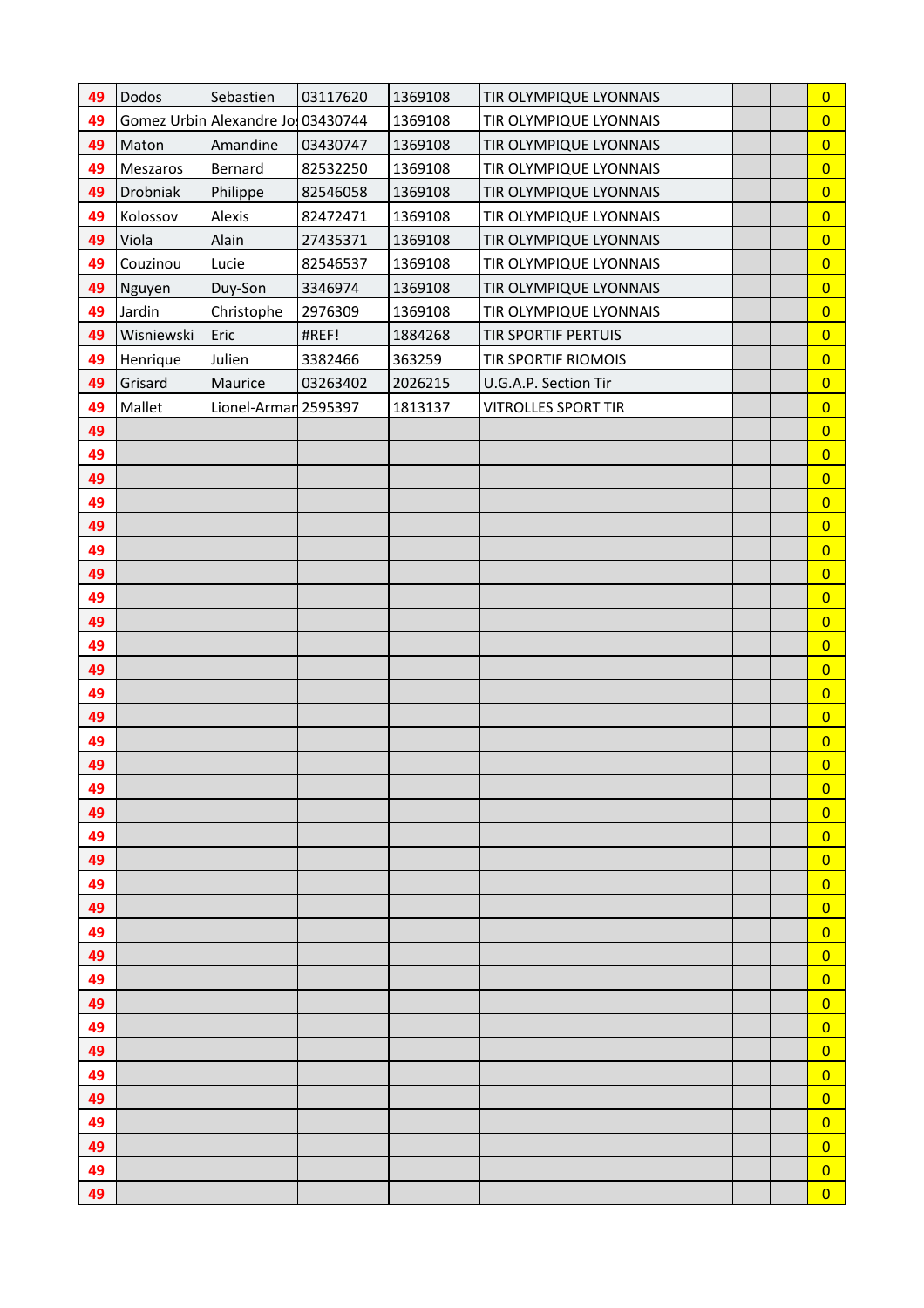| 49 | Dodos      | Sebastien                         | 03117620 | 1369108 | TIR OLYMPIQUE LYONNAIS     |  | $\overline{0}$ |
|----|------------|-----------------------------------|----------|---------|----------------------------|--|----------------|
| 49 |            | Gomez Urbin Alexandre Jo 03430744 |          | 1369108 | TIR OLYMPIQUE LYONNAIS     |  | $\overline{0}$ |
| 49 | Maton      | Amandine                          | 03430747 | 1369108 | TIR OLYMPIQUE LYONNAIS     |  | $\overline{0}$ |
| 49 | Meszaros   | Bernard                           | 82532250 | 1369108 | TIR OLYMPIQUE LYONNAIS     |  | $\overline{0}$ |
| 49 | Drobniak   | Philippe                          | 82546058 | 1369108 | TIR OLYMPIQUE LYONNAIS     |  | $\overline{0}$ |
| 49 | Kolossov   | Alexis                            | 82472471 | 1369108 | TIR OLYMPIQUE LYONNAIS     |  | $\overline{0}$ |
| 49 | Viola      | Alain                             | 27435371 | 1369108 | TIR OLYMPIQUE LYONNAIS     |  | $\overline{0}$ |
| 49 | Couzinou   | Lucie                             | 82546537 | 1369108 | TIR OLYMPIQUE LYONNAIS     |  | $\overline{0}$ |
| 49 | Nguyen     | Duy-Son                           | 3346974  | 1369108 | TIR OLYMPIQUE LYONNAIS     |  | $\overline{0}$ |
| 49 | Jardin     | Christophe                        | 2976309  | 1369108 | TIR OLYMPIQUE LYONNAIS     |  | $\overline{0}$ |
| 49 | Wisniewski | Eric                              | #REF!    | 1884268 | <b>TIR SPORTIF PERTUIS</b> |  | $\overline{0}$ |
| 49 | Henrique   | Julien                            | 3382466  | 363259  | TIR SPORTIF RIOMOIS        |  | $\overline{0}$ |
| 49 | Grisard    | Maurice                           | 03263402 | 2026215 | U.G.A.P. Section Tir       |  | $\overline{0}$ |
| 49 | Mallet     | Lionel-Armar 2595397              |          | 1813137 | <b>VITROLLES SPORT TIR</b> |  | $\overline{0}$ |
| 49 |            |                                   |          |         |                            |  | $\overline{0}$ |
| 49 |            |                                   |          |         |                            |  | $\overline{0}$ |
| 49 |            |                                   |          |         |                            |  | $\overline{0}$ |
| 49 |            |                                   |          |         |                            |  | $\overline{0}$ |
| 49 |            |                                   |          |         |                            |  | $\overline{0}$ |
| 49 |            |                                   |          |         |                            |  | $\overline{0}$ |
| 49 |            |                                   |          |         |                            |  | $\overline{0}$ |
| 49 |            |                                   |          |         |                            |  | $\overline{0}$ |
| 49 |            |                                   |          |         |                            |  | $\overline{0}$ |
| 49 |            |                                   |          |         |                            |  | $\overline{0}$ |
| 49 |            |                                   |          |         |                            |  | $\overline{0}$ |
| 49 |            |                                   |          |         |                            |  | $\overline{0}$ |
| 49 |            |                                   |          |         |                            |  | $\overline{0}$ |
| 49 |            |                                   |          |         |                            |  | $\overline{0}$ |
| 49 |            |                                   |          |         |                            |  | $\overline{0}$ |
| 49 |            |                                   |          |         |                            |  | $\bf{0}$       |
| 49 |            |                                   |          |         |                            |  | $\overline{0}$ |
| 49 |            |                                   |          |         |                            |  | $\overline{0}$ |
| 49 |            |                                   |          |         |                            |  | $\overline{0}$ |
| 49 |            |                                   |          |         |                            |  | $\overline{0}$ |
| 49 |            |                                   |          |         |                            |  | $\overline{0}$ |
| 49 |            |                                   |          |         |                            |  | $\overline{0}$ |
| 49 |            |                                   |          |         |                            |  | $\overline{0}$ |
| 49 |            |                                   |          |         |                            |  | $\overline{0}$ |
| 49 |            |                                   |          |         |                            |  | $\overline{0}$ |
| 49 |            |                                   |          |         |                            |  | $\overline{0}$ |
| 49 |            |                                   |          |         |                            |  | $\overline{0}$ |
| 49 |            |                                   |          |         |                            |  | $\overline{0}$ |
| 49 |            |                                   |          |         |                            |  | $\overline{0}$ |
| 49 |            |                                   |          |         |                            |  | $\overline{0}$ |
| 49 |            |                                   |          |         |                            |  | $\overline{0}$ |
| 49 |            |                                   |          |         |                            |  | $\overline{0}$ |
| 49 |            |                                   |          |         |                            |  | $\overline{0}$ |